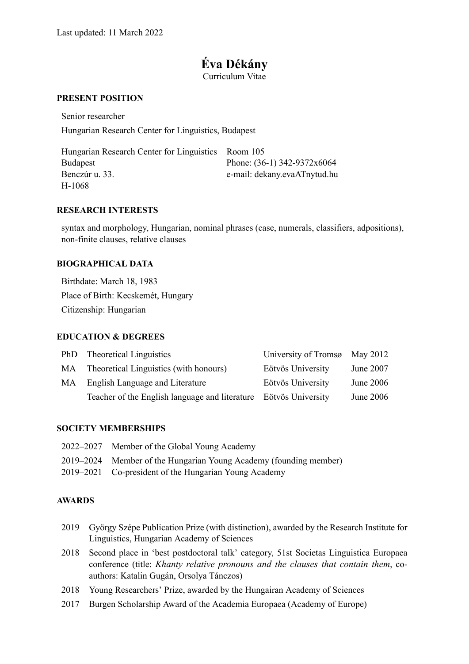# **Éva Dékány**

Curriculum Vitae

#### **PRESENT POSITION**

Senior researcher Hungarian Research Center for Linguistics, Budapest

| Hungarian Research Center for Linguistics Room 105 |                               |
|----------------------------------------------------|-------------------------------|
| <b>Budapest</b>                                    | Phone: $(36-1)$ 342-9372x6064 |
| Benczúr u. 33.                                     | e-mail: dekany.evaATnytud.hu  |
| H-1068                                             |                               |

#### **RESEARCH INTERESTS**

syntax and morphology, Hungarian, nominal phrases (case, numerals, classifiers, adpositions), non-finite clauses, relative clauses

#### **BIOGRAPHICAL DATA**

Birthdate: March 18, 1983 Place of Birth: Kecskemét, Hungary Citizenship: Hungarian

#### **EDUCATION & DEGREES**

|    | PhD Theoretical Linguistics                                      | University of Tromsø May 2012 |             |
|----|------------------------------------------------------------------|-------------------------------|-------------|
|    | MA Theoretical Linguistics (with honours)                        | Eötvös University             | June $2007$ |
| MA | English Language and Literature                                  | Eötvös University             | June $2006$ |
|    | Teacher of the English language and literature Eötvös University |                               | June 2006   |

#### **SOCIETY MEMBERSHIPS**

| 2022–2027 Member of the Global Young Academy                      |
|-------------------------------------------------------------------|
| 2019–2024 Member of the Hungarian Young Academy (founding member) |
| 2019–2021 Co-president of the Hungarian Young Academy             |

#### **AWARDS**

- 2019 György Szépe Publication Prize (with distinction), awarded by the Research Institute for Linguistics, Hungarian Academy of Sciences
- 2018 Second place in 'best postdoctoral talk' category, 51st Societas Linguistica Europaea conference (title: *Khanty relative pronouns and the clauses that contain them*, coauthors: Katalin Gugán, Orsolya Tánczos)
- 2018 Young Researchers' Prize, awarded by the Hungairan Academy of Sciences
- 2017 Burgen Scholarship Award of the Academia Europaea (Academy of Europe)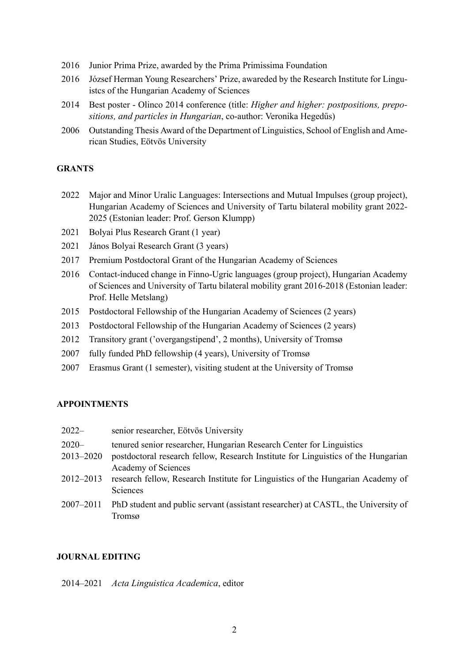- 2016 Junior Prima Prize, awarded by the Prima Primissima Foundation
- 2016 József Herman Young Researchers' Prize, awareded by the Research Institute for Linguistcs of the Hungarian Academy of Sciences
- 2014 Best poster Olinco 2014 conference (title: *Higher and higher: postpositions, prepositions, and particles in Hungarian*, co-author: Veronika Hegedűs)
- 2006 Outstanding Thesis Award of the Department of Linguistics, School of English and American Studies, Eötvös University

### **GRANTS**

- 2022 Major and Minor Uralic Languages: Intersections and Mutual Impulses (group project), Hungarian Academy of Sciences and University of Tartu bilateral mobility grant 2022- 2025 (Estonian leader: Prof. Gerson Klumpp)
- 2021 Bolyai Plus Research Grant (1 year)
- 2021 János Bolyai Research Grant (3 years)
- 2017 Premium Postdoctoral Grant of the Hungarian Academy of Sciences
- 2016 Contact-induced change in Finno-Ugric languages (group project), Hungarian Academy of Sciences and University of Tartu bilateral mobility grant 2016-2018 (Estonian leader: Prof. Helle Metslang)
- 2015 Postdoctoral Fellowship of the Hungarian Academy of Sciences (2 years)
- 2013 Postdoctoral Fellowship of the Hungarian Academy of Sciences (2 years)
- 2012 Transitory grant ('overgangstipend', 2 months), University of Tromsø
- 2007 fully funded PhD fellowship (4 years), University of Tromsø
- 2007 Erasmus Grant (1 semester), visiting student at the University of Tromsø

#### **APPOINTMENTS**

| $2022-$                   | senior researcher, Eötvös University                                                                                                                                             |
|---------------------------|----------------------------------------------------------------------------------------------------------------------------------------------------------------------------------|
| $2020 -$<br>$2013 - 2020$ | tenured senior researcher, Hungarian Research Center for Linguistics<br>postdoctoral research fellow, Research Institute for Linguistics of the Hungarian<br>Academy of Sciences |
| 2012-2013                 | research fellow, Research Institute for Linguistics of the Hungarian Academy of<br>Sciences                                                                                      |
| $2007 - 2011$             | PhD student and public servant (assistant researcher) at CASTL, the University of<br>Tromsø                                                                                      |

### **JOURNAL EDITING**

2014–2021 *Acta Linguistica Academica*, editor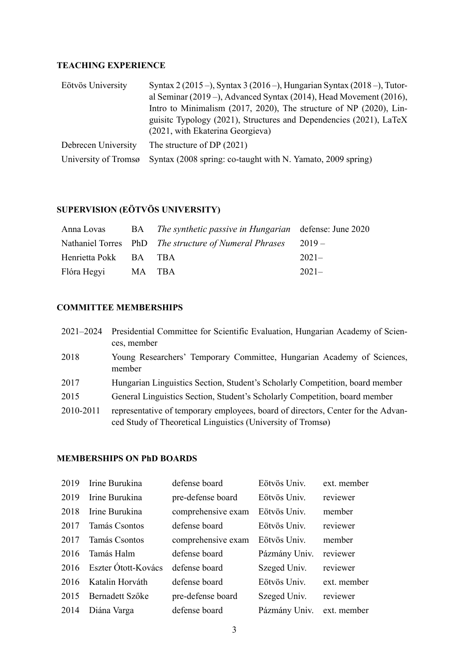## **TEACHING EXPERIENCE**

| Eötvös University    | Syntax 2 (2015 –), Syntax 3 (2016 –), Hungarian Syntax (2018 –), Tutor- |
|----------------------|-------------------------------------------------------------------------|
|                      | al Seminar (2019 –), Advanced Syntax (2014), Head Movement (2016),      |
|                      | Intro to Minimalism (2017, 2020), The structure of NP (2020), Lin-      |
|                      | guisite Typology (2021), Structures and Dependencies (2021), LaTeX      |
|                      | (2021, with Ekaterina Georgieva)                                        |
| Debrecen University  | The structure of DP $(2021)$                                            |
| University of Tromsø | Syntax (2008 spring: co-taught with N. Yamato, 2009 spring)             |

## **SUPERVISION (EÖTVÖS UNIVERSITY)**

| Anna Lovas            |        | BA The synthetic passive in Hungarian defense: June 2020     |         |
|-----------------------|--------|--------------------------------------------------------------|---------|
|                       |        | Nathaniel Torres PhD The structure of Numeral Phrases 2019 – |         |
| Henrietta Pokk BA TBA |        |                                                              | $2021-$ |
| Flóra Hegyi           | MA TBA |                                                              | $2021-$ |

## **COMMITTEE MEMBERSHIPS**

| $2021 - 2024$ | Presidential Committee for Scientific Evaluation, Hungarian Academy of Scien-<br>ces, member                                                    |
|---------------|-------------------------------------------------------------------------------------------------------------------------------------------------|
| 2018          | Young Researchers' Temporary Committee, Hungarian Academy of Sciences,<br>member                                                                |
| 2017          | Hungarian Linguistics Section, Student's Scholarly Competition, board member                                                                    |
| 2015          | General Linguistics Section, Student's Scholarly Competition, board member                                                                      |
| 2010-2011     | representative of temporary employees, board of directors, Center for the Advan-<br>ced Study of Theoretical Linguistics (University of Tromsø) |

## **MEMBERSHIPS ON PhD BOARDS**

| 2019 | Irine Burukina      | defense board      | Eötvös Univ.  | ext. member |
|------|---------------------|--------------------|---------------|-------------|
| 2019 | Irine Burukina      | pre-defense board  | Eötvös Univ.  | reviewer    |
| 2018 | Irine Burukina      | comprehensive exam | Eötvös Univ.  | member      |
| 2017 | Tamás Csontos       | defense board      | Eötvös Univ.  | reviewer    |
| 2017 | Tamás Csontos       | comprehensive exam | Eötvös Univ.  | member      |
| 2016 | Tamás Halm          | defense board      | Pázmány Univ. | reviewer    |
| 2016 | Eszter Ótott-Kovács | defense board      | Szeged Univ.  | reviewer    |
| 2016 | Katalin Horváth     | defense board      | Eötvös Univ.  | ext. member |
| 2015 | Bernadett Szőke     | pre-defense board  | Szeged Univ.  | reviewer    |
| 2014 | Diána Varga         | defense board      | Pázmány Univ. | ext. member |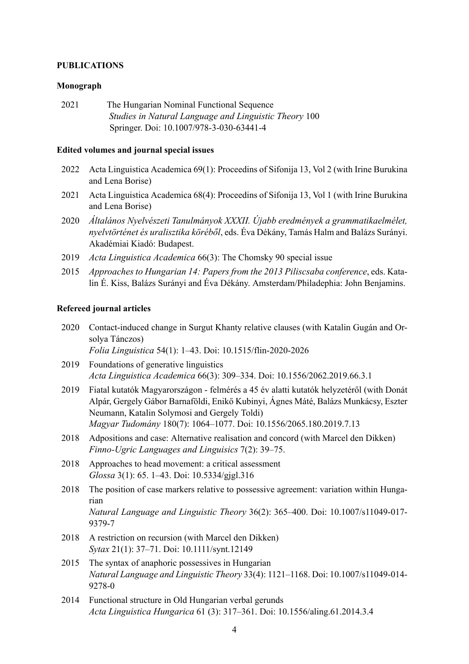#### **PUBLICATIONS**

#### **Monograph**

2021 The Hungarian Nominal Functional Sequence *Studies in Natural Language and Linguistic Theory* 100 Springer. Doi: 10.1007/978-3-030-63441-4

#### **Edited volumes and journal special issues**

- 2022 Acta Linguistica Academica 69(1): Proceedins of Sifonija 13, Vol 2 (with Irine Burukina and Lena Borise)
- 2021 Acta Linguistica Academica 68(4): Proceedins of Sifonija 13, Vol 1 (with Irine Burukina and Lena Borise)
- 2020 *Általános Nyelvészeti Tanulmányok XXXII. Újabb eredmények a grammatikaelmélet, nyelvtörténet és uralisztika köréből*, eds. Éva Dékány, Tamás Halm and Balázs Surányi. Akadémiai Kiadó: Budapest.
- 2019 *Acta Linguistica Academica* 66(3): The Chomsky 90 special issue
- 2015 *Approaches to Hungarian 14: Papers from the 2013 Piliscsaba conference*, eds. Katalin É. Kiss, Balázs Surányi and Éva Dékány. Amsterdam/Philadephia: John Benjamins.

#### **Refereed journal articles**

- 2020 Contact-induced change in Surgut Khanty relative clauses (with Katalin Gugán and Orsolya Tánczos) *Folia Linguistica* 54(1): 1–43. Doi: 10.1515/flin-2020-2026
- 2019 Foundations of generative linguistics *Acta Linguistica Academica* 66(3): 309–334. Doi: 10.1556/2062.2019.66.3.1
- 2019 Fiatal kutatók Magyarországon felmérés a 45 év alatti kutatók helyzetéről (with Donát Alpár, Gergely Gábor Barnaföldi, Enikő Kubinyi, Ágnes Máté, Balázs Munkácsy, Eszter Neumann, Katalin Solymosi and Gergely Toldi) *Magyar Tudomány* 180(7): 1064–1077. Doi: 10.1556/2065.180.2019.7.13
- 2018 Adpositions and case: Alternative realisation and concord (with Marcel den Dikken) *Finno-Ugric Languages and Linguisics* 7(2): 39–75.
- 2018 Approaches to head movement: a critical assessment *Glossa* 3(1): 65. 1–43. Doi: 10.5334/gjgl.316
- 2018 The position of case markers relative to possessive agreement: variation within Hungarian *Natural Language and Linguistic Theory* 36(2): 365–400. Doi: 10.1007/s11049-017- 9379-7
- 2018 A restriction on recursion (with Marcel den Dikken) *Sytax* 21(1): 37–71. Doi: 10.1111/synt.12149
- 2015 The syntax of anaphoric possessives in Hungarian *Natural Language and Linguistic Theory* 33(4): 1121–1168. Doi: 10.1007/s11049-014- 9278-0
- 2014 Functional structure in Old Hungarian verbal gerunds *Acta Linguistica Hungarica* 61 (3): 317–361. Doi: 10.1556/aling.61.2014.3.4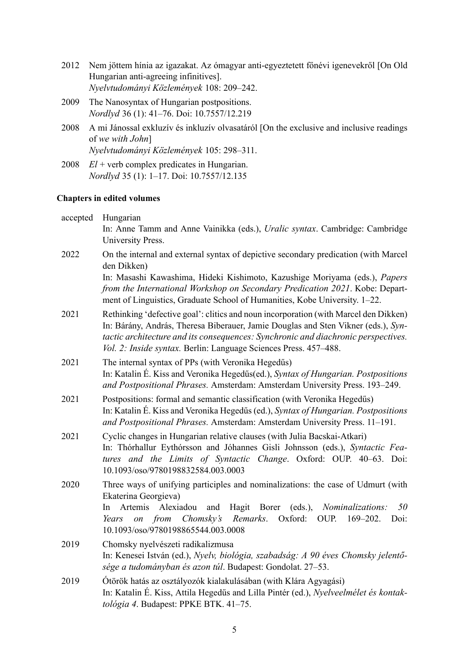- 2012 Nem jöttem hínia az igazakat. Az ómagyar anti-egyeztetett főnévi igenevekről [On Old Hungarian anti-agreeing infinitives]. *Nyelvtudományi Közlemények* 108: 209–242.
- 2009 The Nanosyntax of Hungarian postpositions. *Nordlyd* 36 (1): 41–76. Doi: 10.7557/12.219
- 2008 A mi Jánossal exkluzív és inkluzív olvasatáról [On the exclusive and inclusive readings of *we with John*] *Nyelvtudományi Közlemények* 105: 298–311.
- 2008 *El* + verb complex predicates in Hungarian. *Nordlyd* 35 (1): 1–17. Doi: 10.7557/12.135

### **Chapters in edited volumes**

| accepted | Hungarian<br>In: Anne Tamm and Anne Vainikka (eds.), Uralic syntax. Cambridge: Cambridge<br>University Press.                                                                                                                                                                                                                      |
|----------|------------------------------------------------------------------------------------------------------------------------------------------------------------------------------------------------------------------------------------------------------------------------------------------------------------------------------------|
| 2022     | On the internal and external syntax of depictive secondary predication (with Marcel<br>den Dikken)                                                                                                                                                                                                                                 |
|          | In: Masashi Kawashima, Hideki Kishimoto, Kazushige Moriyama (eds.), Papers<br>from the International Workshop on Secondary Predication 2021. Kobe: Depart-<br>ment of Linguistics, Graduate School of Humanities, Kobe University. 1-22.                                                                                           |
| 2021     | Rethinking 'defective goal': clitics and noun incorporation (with Marcel den Dikken)<br>In: Bárány, András, Theresa Biberauer, Jamie Douglas and Sten Vikner (eds.), Syn-<br>tactic architecture and its consequences: Synchronic and diachronic perspectives.<br>Vol. 2: Inside syntax. Berlin: Language Sciences Press. 457–488. |
| 2021     | The internal syntax of PPs (with Veronika Hegedűs)<br>In: Katalin É. Kiss and Veronika Hegedűs(ed.), Syntax of Hungarian. Postpositions<br>and Postpositional Phrases. Amsterdam: Amsterdam University Press. 193-249.                                                                                                             |
| 2021     | Postpositions: formal and semantic classification (with Veronika Hegedűs)<br>In: Katalin É. Kiss and Veronika Hegedűs (ed.), Syntax of Hungarian. Postpositions<br>and Postpositional Phrases. Amsterdam: Amsterdam University Press. 11-191.                                                                                      |
| 2021     | Cyclic changes in Hungarian relative clauses (with Julia Bacskai-Atkari)<br>In: Thórhallur Eythórsson and Jóhannes Gisli Johnsson (eds.), Syntactic Fea-<br>tures and the Limits of Syntactic Change. Oxford: OUP. 40-63. Doi:<br>10.1093/oso/9780198832584.003.0003                                                               |
| 2020     | Three ways of unifying participles and nominalizations: the case of Udmurt (with<br>Ekaterina Georgieva)<br>Artemis<br>Alexiadou<br>Hagit Borer<br>(eds.), <i>Nominalizations:</i><br>50<br>In.<br>and<br>on from Chomsky's<br>Remarks.<br>Oxford:<br>OUP.<br>$169 - 202$ .<br>Doi:<br>Years<br>10.1093/oso/9780198865544.003.0008 |
| 2019     | Chomsky nyelvészeti radikalizmusa<br>In: Kenesei István (ed.), Nyelv, biológia, szabadság: A 90 éves Chomsky jelentő-<br>sége a tudományban és azon túl. Budapest: Gondolat. 27–53.                                                                                                                                                |
| 2019     | Ótörök hatás az osztályozók kialakulásában (with Klára Agyagási)<br>In: Katalin É. Kiss, Attila Hegedűs and Lilla Pintér (ed.), Nyelveelmélet és kontak-<br>tológia 4. Budapest: PPKE BTK. 41-75.                                                                                                                                  |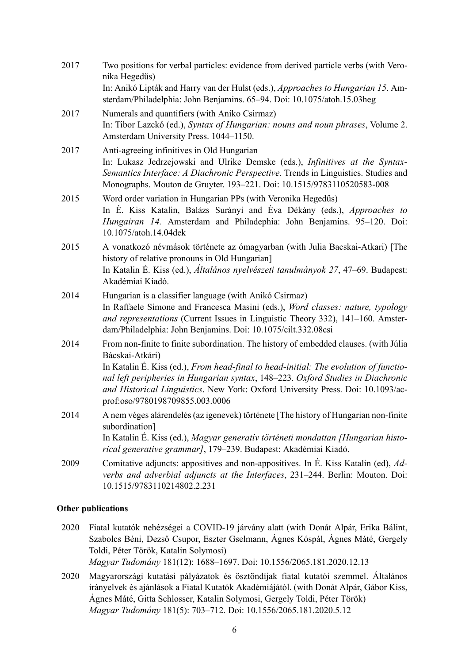| 2017 | Two positions for verbal particles: evidence from derived particle verbs (with Vero-<br>nika Hegedűs)                                                                                                                                                                                                                                                                                                     |
|------|-----------------------------------------------------------------------------------------------------------------------------------------------------------------------------------------------------------------------------------------------------------------------------------------------------------------------------------------------------------------------------------------------------------|
|      | In: Anikó Lipták and Harry van der Hulst (eds.), Approaches to Hungarian 15. Am-<br>sterdam/Philadelphia: John Benjamins. 65-94. Doi: 10.1075/atoh.15.03heg                                                                                                                                                                                                                                               |
| 2017 | Numerals and quantifiers (with Aniko Csirmaz)<br>In: Tibor Lazckó (ed.), Syntax of Hungarian: nouns and noun phrases, Volume 2.<br>Amsterdam University Press. 1044-1150.                                                                                                                                                                                                                                 |
| 2017 | Anti-agreeing infinitives in Old Hungarian<br>In: Lukasz Jedrzejowski and Ulrike Demske (eds.), Infinitives at the Syntax-<br>Semantics Interface: A Diachronic Perspective. Trends in Linguistics. Studies and<br>Monographs. Mouton de Gruyter. 193-221. Doi: 10.1515/9783110520583-008                                                                                                                 |
| 2015 | Word order variation in Hungarian PPs (with Veronika Hegedűs)<br>In É. Kiss Katalin, Balázs Surányi and Éva Dékány (eds.), Approaches to<br>Hungairan 14. Amsterdam and Philadephia: John Benjamins. 95-120. Doi:<br>10.1075/atoh.14.04dek                                                                                                                                                                |
| 2015 | A vonatkozó névmások története az ómagyarban (with Julia Bacskai-Atkari) [The<br>history of relative pronouns in Old Hungarian]<br>In Katalin É. Kiss (ed.), Általános nyelvészeti tanulmányok 27, 47–69. Budapest:<br>Akadémiai Kiadó.                                                                                                                                                                   |
| 2014 | Hungarian is a classifier language (with Anikó Csirmaz)<br>In Raffaele Simone and Francesca Masini (eds.), Word classes: nature, typology<br>and representations (Current Issues in Linguistic Theory 332), 141-160. Amster-<br>dam/Philadelphia: John Benjamins. Doi: 10.1075/cilt.332.08csi                                                                                                             |
| 2014 | From non-finite to finite subordination. The history of embedded clauses. (with Júlia<br>Bácskai-Atkári)<br>In Katalin É. Kiss (ed.), From head-final to head-initial: The evolution of functio-<br>nal left peripheries in Hungarian syntax, 148-223. Oxford Studies in Diachronic<br>and Historical Linguistics. New York: Oxford University Press. Doi: 10.1093/ac-<br>prof:oso/9780198709855.003.0006 |
| 2014 | A nem véges alárendelés (az igenevek) története [The history of Hungarian non-finite<br>subordination]<br>In Katalin É. Kiss (ed.), Magyar generativ történeti mondattan [Hungarian histo-<br>rical generative grammar], 179-239. Budapest: Akadémiai Kiadó.                                                                                                                                              |
| 2009 | Comitative adjuncts: appositives and non-appositives. In É. Kiss Katalin (ed), Ad-<br>verbs and adverbial adjuncts at the Interfaces, 231-244. Berlin: Mouton. Doi:<br>10.1515/9783110214802.2.231                                                                                                                                                                                                        |

#### **Other publications**

- 2020 Fiatal kutatók nehézségei a COVID-19 járvány alatt (with Donát Alpár, Erika Bálint, Szabolcs Béni, Dezső Csupor, Eszter Gselmann, Ágnes Kóspál, Ágnes Máté, Gergely Toldi, Péter Török, Katalin Solymosi) *Magyar Tudomány* 181(12): 1688–1697. Doi: 10.1556/2065.181.2020.12.13
- 2020 Magyarországi kutatási pályázatok és ösztöndíjak fiatal kutatói szemmel. Általános irányelvek és ajánlások a Fiatal Kutatók Akadémiájától. (with Donát Alpár, Gábor Kiss, Ágnes Máté, Gitta Schlosser, Katalin Solymosi, Gergely Toldi, Péter Török) *Magyar Tudomány* 181(5): 703–712. Doi: 10.1556/2065.181.2020.5.12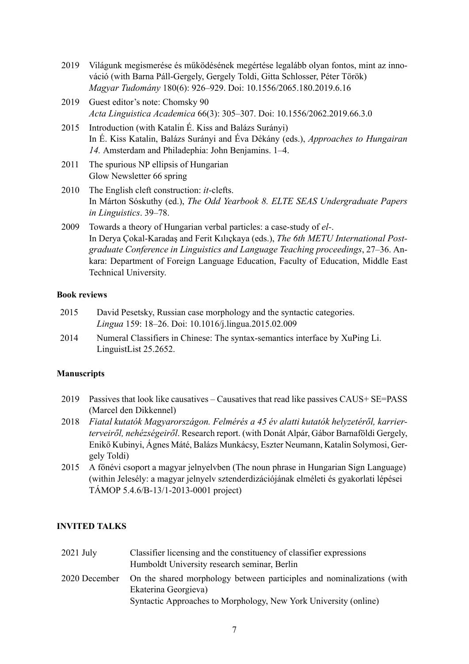- 2019 Világunk megismerése és működésének megértése legalább olyan fontos, mint az innováció (with Barna Páll-Gergely, Gergely Toldi, Gitta Schlosser, Péter Török) *Magyar Tudomány* 180(6): 926–929. Doi: 10.1556/2065.180.2019.6.16
- 2019 Guest editor's note: Chomsky 90 *Acta Linguistica Academica* 66(3): 305–307. Doi: 10.1556/2062.2019.66.3.0
- 2015 Introduction (with Katalin É. Kiss and Balázs Surányi) In É. Kiss Katalin, Balázs Surányi and Éva Dékány (eds.), *Approaches to Hungairan 14.* Amsterdam and Philadephia: John Benjamins. 1–4.
- 2011 The spurious NP ellipsis of Hungarian Glow Newsletter 66 spring
- 2010 The English cleft construction: *it*-clefts. In Márton Sóskuthy (ed.), *The Odd Yearbook 8. ELTE SEAS Undergraduate Papers in Linguistics*. 39–78.
- 2009 Towards a theory of Hungarian verbal particles: a case-study of *el-*. In Derya Çokal-Karadaş and Ferit Kılıçkaya (eds.), *The 6th METU International Postgraduate Conference in Linguistics and Language Teaching proceedings*, 27–36. Ankara: Department of Foreign Language Education, Faculty of Education, Middle East Technical University.

## **Book reviews**

- 2015 David Pesetsky, Russian case morphology and the syntactic categories. *Lingua* 159: 18–26. Doi: 10.1016/j.lingua.2015.02.009
- 2014 Numeral Classifiers in Chinese: The syntax-semantics interface by XuPing Li. LinguistList 25.2652.

#### **Manuscripts**

- 2019 Passives that look like causatives Causatives that read like passives CAUS+ SE=PASS (Marcel den Dikkennel)
- 2018 *Fiatal kutatók Magyarországon. Felmérés a 45 év alatti kutatók helyzetéről, karrierterveiről, nehézségeiről*. Research report. (with Donát Alpár, Gábor Barnaföldi Gergely, Enikő Kubinyi, Ágnes Máté, Balázs Munkácsy, Eszter Neumann, Katalin Solymosi, Gergely Toldi)
- 2015 A főnévi csoport a magyar jelnyelvben (The noun phrase in Hungarian Sign Language) (within Jelesély: a magyar jelnyelv sztenderdizációjának elméleti és gyakorlati lépései TÁMOP 5.4.6/B-13/1-2013-0001 project)

#### **INVITED TALKS**

2021 July Classifier licensing and the constituency of classifier expressions Humboldt University research seminar, Berlin 2020 December On the shared morphology between participles and nominalizations (with Ekaterina Georgieva) Syntactic Approaches to Morphology, New York University (online)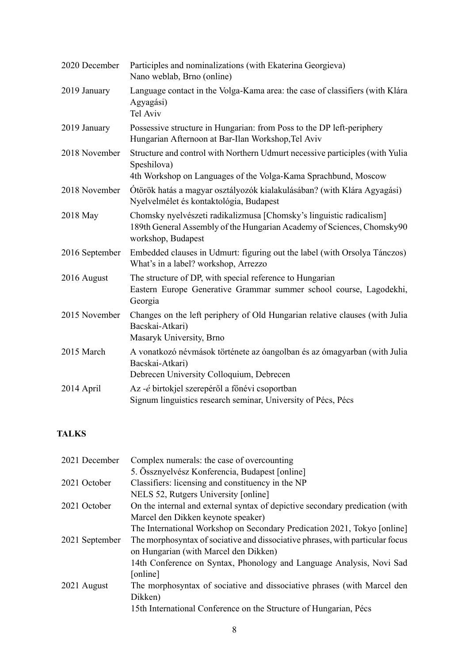| 2020 December  | Participles and nominalizations (with Ekaterina Georgieva)<br>Nano weblab, Brno (online)                                                                            |
|----------------|---------------------------------------------------------------------------------------------------------------------------------------------------------------------|
| 2019 January   | Language contact in the Volga-Kama area: the case of classifiers (with Klára<br>Agyagási)<br>Tel Aviv                                                               |
| 2019 January   | Possessive structure in Hungarian: from Poss to the DP left-periphery<br>Hungarian Afternoon at Bar-Ilan Workshop, Tel Aviv                                         |
| 2018 November  | Structure and control with Northern Udmurt necessive participles (with Yulia<br>Speshilova)<br>4th Workshop on Languages of the Volga-Kama Sprachbund, Moscow       |
| 2018 November  | Ótörök hatás a magyar osztályozók kialakulásában? (with Klára Agyagási)<br>Nyelvelmélet és kontaktológia, Budapest                                                  |
| 2018 May       | Chomsky nyelvészeti radikalizmusa [Chomsky's linguistic radicalism]<br>189th General Assembly of the Hungarian Academy of Sciences, Chomsky90<br>workshop, Budapest |
| 2016 September | Embedded clauses in Udmurt: figuring out the label (with Orsolya Tánczos)<br>What's in a label? workshop, Arrezzo                                                   |
| 2016 August    | The structure of DP, with special reference to Hungarian<br>Eastern Europe Generative Grammar summer school course, Lagodekhi,<br>Georgia                           |
| 2015 November  | Changes on the left periphery of Old Hungarian relative clauses (with Julia<br>Bacskai-Atkari)<br>Masaryk University, Brno                                          |
| 2015 March     | A vonatkozó névmások története az óangolban és az ómagyarban (with Julia<br>Bacskai-Atkari)<br>Debrecen University Colloquium, Debrecen                             |
| 2014 April     | Az -é birtokjel szerepéről a főnévi csoportban<br>Signum linguistics research seminar, University of Pécs, Pécs                                                     |

## **TALKS**

| 2021 December  | Complex numerals: the case of overcounting                                    |
|----------------|-------------------------------------------------------------------------------|
|                | 5. Össznyelvész Konferencia, Budapest [online]                                |
| 2021 October   | Classifiers: licensing and constituency in the NP                             |
|                | NELS 52, Rutgers University [online]                                          |
| 2021 October   | On the internal and external syntax of depictive secondary predication (with  |
|                | Marcel den Dikken keynote speaker)                                            |
|                | The International Workshop on Secondary Predication 2021, Tokyo [online]      |
| 2021 September | The morphosyntax of sociative and dissociative phrases, with particular focus |
|                | on Hungarian (with Marcel den Dikken)                                         |
|                | 14th Conference on Syntax, Phonology and Language Analysis, Novi Sad          |
|                | [online]                                                                      |
| 2021 August    | The morphosyntax of sociative and dissociative phrases (with Marcel den       |
|                | Dikken)                                                                       |
|                | 15th International Conference on the Structure of Hungarian, Pécs             |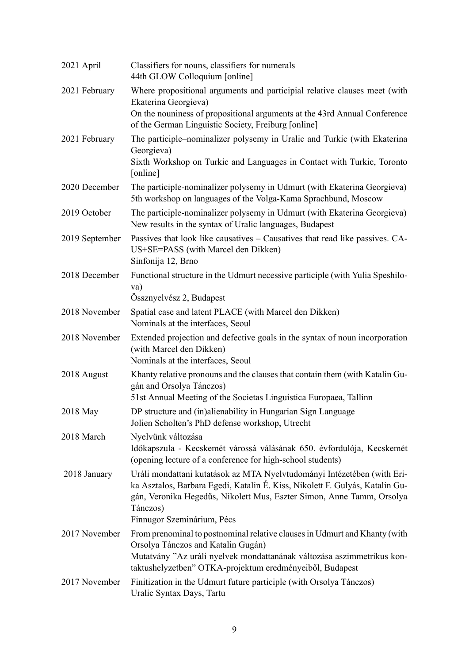| 2021 April     | Classifiers for nouns, classifiers for numerals<br>44th GLOW Colloquium [online]                                                                                                                                                                                           |
|----------------|----------------------------------------------------------------------------------------------------------------------------------------------------------------------------------------------------------------------------------------------------------------------------|
| 2021 February  | Where propositional arguments and participial relative clauses meet (with<br>Ekaterina Georgieva)                                                                                                                                                                          |
|                | On the nouniness of propositional arguments at the 43rd Annual Conference<br>of the German Linguistic Society, Freiburg [online]                                                                                                                                           |
| 2021 February  | The participle–nominalizer polysemy in Uralic and Turkic (with Ekaterina<br>Georgieva)<br>Sixth Workshop on Turkic and Languages in Contact with Turkic, Toronto<br>[online]                                                                                               |
| 2020 December  | The participle-nominalizer polysemy in Udmurt (with Ekaterina Georgieva)<br>5th workshop on languages of the Volga-Kama Sprachbund, Moscow                                                                                                                                 |
| 2019 October   | The participle-nominalizer polysemy in Udmurt (with Ekaterina Georgieva)<br>New results in the syntax of Uralic languages, Budapest                                                                                                                                        |
| 2019 September | Passives that look like causatives – Causatives that read like passives. CA-<br>US+SE=PASS (with Marcel den Dikken)<br>Sinfonija 12, Brno                                                                                                                                  |
| 2018 December  | Functional structure in the Udmurt necessive participle (with Yulia Speshilo-<br>va)<br>Össznyelvész 2, Budapest                                                                                                                                                           |
| 2018 November  | Spatial case and latent PLACE (with Marcel den Dikken)<br>Nominals at the interfaces, Seoul                                                                                                                                                                                |
| 2018 November  | Extended projection and defective goals in the syntax of noun incorporation<br>(with Marcel den Dikken)<br>Nominals at the interfaces, Seoul                                                                                                                               |
| 2018 August    | Khanty relative pronouns and the clauses that contain them (with Katalin Gu-<br>gán and Orsolya Tánczos)<br>51st Annual Meeting of the Societas Linguistica Europaea, Tallinn                                                                                              |
| 2018 May       | DP structure and (in)alienability in Hungarian Sign Language<br>Jolien Scholten's PhD defense workshop, Utrecht                                                                                                                                                            |
| 2018 March     | Nyelvünk változása<br>Időkapszula - Kecskemét várossá válásának 650. évfordulója, Kecskemét<br>(opening lecture of a conference for high-school students)                                                                                                                  |
| 2018 January   | Uráli mondattani kutatások az MTA Nyelvtudományi Intézetében (with Eri-<br>ka Asztalos, Barbara Egedi, Katalin É. Kiss, Nikolett F. Gulyás, Katalin Gu-<br>gán, Veronika Hegedűs, Nikolett Mus, Eszter Simon, Anne Tamm, Orsolya<br>Tánczos)<br>Finnugor Szeminárium, Pécs |
| 2017 November  | From prenominal to postnominal relative clauses in Udmurt and Khanty (with<br>Orsolya Tánczos and Katalin Gugán)<br>Mutatvány "Az uráli nyelvek mondattanának változása aszimmetrikus kon-<br>taktushelyzetben" OTKA-projektum eredményeiből, Budapest                     |
| 2017 November  | Finitization in the Udmurt future participle (with Orsolya Tánczos)<br>Uralic Syntax Days, Tartu                                                                                                                                                                           |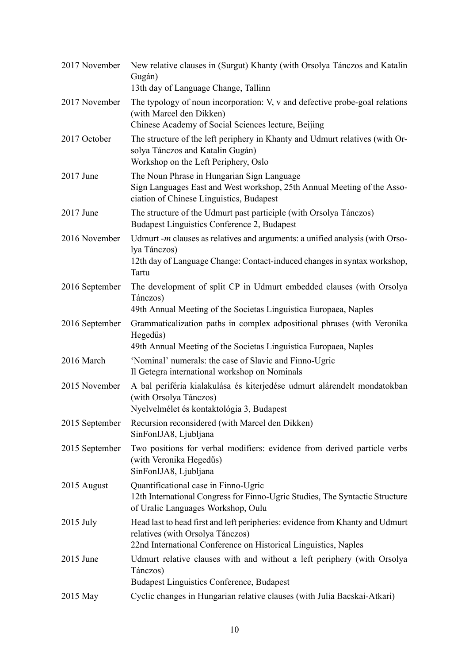| 2017 November  | New relative clauses in (Surgut) Khanty (with Orsolya Tánczos and Katalin<br>Gugán)<br>13th day of Language Change, Tallinn                                                          |
|----------------|--------------------------------------------------------------------------------------------------------------------------------------------------------------------------------------|
| 2017 November  | The typology of noun incorporation: V, v and defective probe-goal relations<br>(with Marcel den Dikken)<br>Chinese Academy of Social Sciences lecture, Beijing                       |
| 2017 October   | The structure of the left periphery in Khanty and Udmurt relatives (with Or-<br>solya Tánczos and Katalin Gugán)<br>Workshop on the Left Periphery, Oslo                             |
| 2017 June      | The Noun Phrase in Hungarian Sign Language<br>Sign Languages East and West workshop, 25th Annual Meeting of the Asso-<br>ciation of Chinese Linguistics, Budapest                    |
| 2017 June      | The structure of the Udmurt past participle (with Orsolya Tánczos)<br>Budapest Linguistics Conference 2, Budapest                                                                    |
| 2016 November  | Udmurt $-m$ clauses as relatives and arguments: a unified analysis (with Orso-<br>lya Tánczos)<br>12th day of Language Change: Contact-induced changes in syntax workshop,<br>Tartu  |
| 2016 September | The development of split CP in Udmurt embedded clauses (with Orsolya<br>Tánczos)<br>49th Annual Meeting of the Societas Linguistica Europaea, Naples                                 |
| 2016 September | Grammaticalization paths in complex adpositional phrases (with Veronika<br>Hegedűs)<br>49th Annual Meeting of the Societas Linguistica Europaea, Naples                              |
| 2016 March     | 'Nominal' numerals: the case of Slavic and Finno-Ugric<br>Il Getegra international workshop on Nominals                                                                              |
| 2015 November  | A bal periféria kialakulása és kiterjedése udmurt alárendelt mondatokban<br>(with Orsolya Tánczos)<br>Nyelvelmélet és kontaktológia 3, Budapest                                      |
| 2015 September | Recursion reconsidered (with Marcel den Dikken)<br>SinFonIJA8, Ljubljana                                                                                                             |
| 2015 September | Two positions for verbal modifiers: evidence from derived particle verbs<br>(with Veronika Hegedűs)<br>SinFonIJA8, Ljubljana                                                         |
| 2015 August    | Quantificational case in Finno-Ugric<br>12th International Congress for Finno-Ugric Studies, The Syntactic Structure<br>of Uralic Languages Workshop, Oulu                           |
| $2015$ July    | Head last to head first and left peripheries: evidence from Khanty and Udmurt<br>relatives (with Orsolya Tánczos)<br>22nd International Conference on Historical Linguistics, Naples |
| $2015$ June    | Udmurt relative clauses with and without a left periphery (with Orsolya<br>Tánczos)<br><b>Budapest Linguistics Conference, Budapest</b>                                              |
| 2015 May       | Cyclic changes in Hungarian relative clauses (with Julia Bacskai-Atkari)                                                                                                             |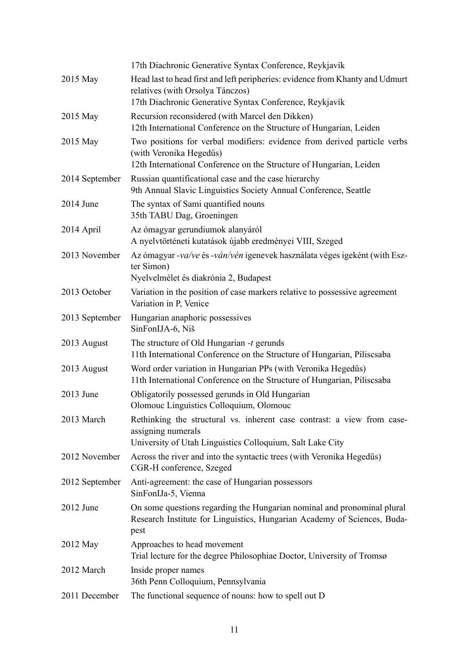|                | 17th Diachronic Generative Syntax Conference, Reykjavík                                                                                                                      |
|----------------|------------------------------------------------------------------------------------------------------------------------------------------------------------------------------|
| 2015 May       | Head last to head first and left peripheries: evidence from Khanty and Udmurt<br>relatives (with Orsolya Tánczos)<br>17th Diachronic Generative Syntax Conference, Reykjavík |
| 2015 May       | Recursion reconsidered (with Marcel den Dikken)<br>12th International Conference on the Structure of Hungarian, Leiden                                                       |
| 2015 May       | Two positions for verbal modifiers: evidence from derived particle verbs<br>(with Veronika Hegedűs)<br>12th International Conference on the Structure of Hungarian, Leiden   |
| 2014 September | Russian quantificational case and the case hierarchy<br>9th Annual Slavic Linguistics Society Annual Conference, Seattle                                                     |
| $2014$ June    | The syntax of Sami quantified nouns<br>35th TABU Dag, Groeningen                                                                                                             |
| 2014 April     | Az ómagyar gerundiumok alanyáról<br>A nyelvtörténeti kutatások újabb eredményei VIII, Szeged                                                                                 |
| 2013 November  | Az ómagyar -va/ve és -ván/vén igenevek használata véges igeként (with Esz-<br>ter Simon)<br>Nyelvelmélet és diakrónia 2, Budapest                                            |
| 2013 October   | Variation in the position of case markers relative to possessive agreement<br>Variation in P, Venice                                                                         |
| 2013 September | Hungarian anaphoric possessives<br>SinFonIJA-6, Niš                                                                                                                          |
|                |                                                                                                                                                                              |
| 2013 August    | The structure of Old Hungarian -t gerunds<br>11th International Conference on the Structure of Hungarian, Piliscsaba                                                         |
| 2013 August    | Word order variation in Hungarian PPs (with Veronika Hegedűs)<br>11th International Conference on the Structure of Hungarian, Piliscsaba                                     |
| 2013 June      | Obligatorily possessed gerunds in Old Hungarian<br>Olomouc Linguistics Colloquium, Olomouc                                                                                   |
| 2013 March     | Rethinking the structural vs. inherent case contrast: a view from case-<br>assigning numerals<br>University of Utah Linguistics Colloquium, Salt Lake City                   |
| 2012 November  | Across the river and into the syntactic trees (with Veronika Hegedűs)<br>CGR-H conference, Szeged                                                                            |
| 2012 September | Anti-agreement: the case of Hungarian possessors<br>SinFonIJa-5, Vienna                                                                                                      |
| $2012$ June    | On some questions regarding the Hungarian nominal and pronominal plural<br>Research Institute for Linguistics, Hungarian Academy of Sciences, Buda-<br>pest                  |
| 2012 May       | Approaches to head movement<br>Trial lecture for the degree Philosophiae Doctor, University of Tromsø                                                                        |
| 2012 March     | Inside proper names<br>36th Penn Colloquium, Pennsylvania                                                                                                                    |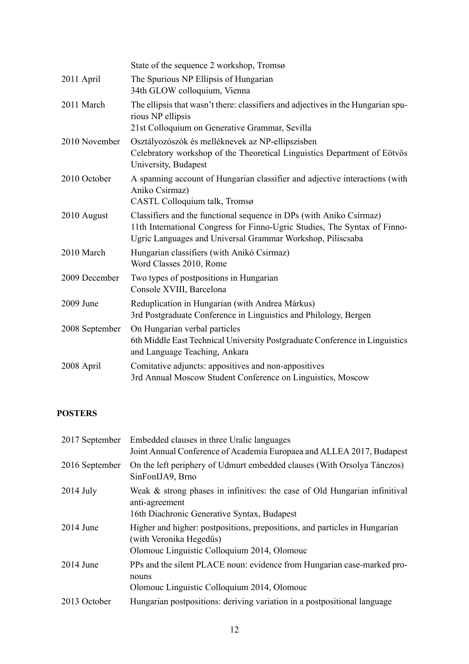|                | State of the sequence 2 workshop, Tromsø                                                                                                                                                                       |
|----------------|----------------------------------------------------------------------------------------------------------------------------------------------------------------------------------------------------------------|
| 2011 April     | The Spurious NP Ellipsis of Hungarian<br>34th GLOW colloquium, Vienna                                                                                                                                          |
| 2011 March     | The ellipsis that wasn't there: classifiers and adjectives in the Hungarian spu-<br>rious NP ellipsis<br>21st Colloquium on Generative Grammar, Sevilla                                                        |
| 2010 November  | Osztályozószók és melléknevek az NP-ellipszisben<br>Celebratory workshop of the Theoretical Linguistics Department of Eötvös<br>University, Budapest                                                           |
| 2010 October   | A spanning account of Hungarian classifier and adjective interactions (with<br>Aniko Csirmaz)<br>CASTL Colloquium talk, Tromsø                                                                                 |
| 2010 August    | Classifiers and the functional sequence in DPs (with Aniko Csirmaz)<br>11th International Congress for Finno-Ugric Studies, The Syntax of Finno-<br>Ugric Languages and Universal Grammar Workshop, Piliscsaba |
| 2010 March     | Hungarian classifiers (with Anikó Csirmaz)<br>Word Classes 2010, Rome                                                                                                                                          |
| 2009 December  | Two types of postpositions in Hungarian<br>Console XVIII, Barcelona                                                                                                                                            |
| 2009 June      | Reduplication in Hungarian (with Andrea Márkus)<br>3rd Postgraduate Conference in Linguistics and Philology, Bergen                                                                                            |
| 2008 September | On Hungarian verbal particles<br>6th Middle East Technical University Postgraduate Conference in Linguistics<br>and Language Teaching, Ankara                                                                  |
| 2008 April     | Comitative adjuncts: appositives and non-appositives<br>3rd Annual Moscow Student Conference on Linguistics, Moscow                                                                                            |

## **POSTERS**

|                | 2017 September Embedded clauses in three Uralic languages<br>Joint Annual Conference of Academia Europaea and ALLEA 2017, Budapest                   |
|----------------|------------------------------------------------------------------------------------------------------------------------------------------------------|
| 2016 September | On the left periphery of Udmurt embedded clauses (With Orsolya Tánczos)<br>SinFonIJA9, Brno                                                          |
| $2014$ July    | Weak $\&$ strong phases in infinitives: the case of Old Hungarian infinitival<br>anti-agreement<br>16th Diachronic Generative Syntax, Budapest       |
| $2014$ June    | Higher and higher: postpositions, prepositions, and particles in Hungarian<br>(with Veronika Hegedűs)<br>Olomouc Linguistic Colloquium 2014, Olomouc |
| $2014$ June    | PPs and the silent PLACE noun: evidence from Hungarian case-marked pro-<br>nouns<br>Olomouc Linguistic Colloquium 2014, Olomouc                      |
| 2013 October   | Hungarian postpositions: deriving variation in a postpositional language                                                                             |